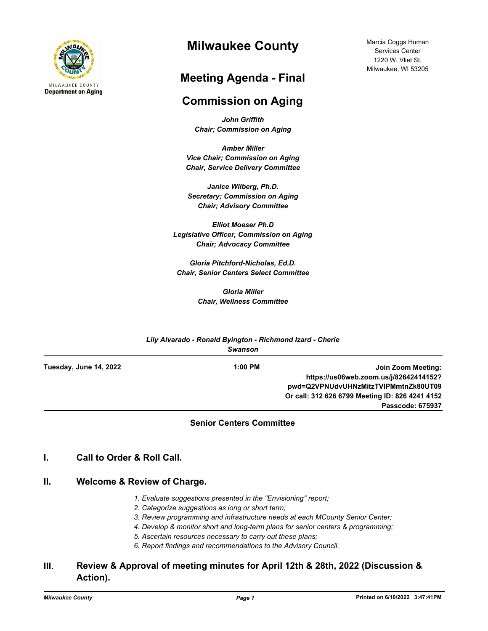

# **Milwaukee County**

## **Meeting Agenda - Final**

### **Commission on Aging**

*John Griffith Chair; Commission on Aging*

*Amber Miller Vice Chair; Commission on Aging Chair, Service Delivery Committee*

*Janice Wilberg, Ph.D. Secretary; Commission on Aging Chair; Advisory Committee*

*Elliot Moeser Ph.D Legislative Officer, Commission on Aging Chair; Advocacy Committee* 

*Gloria Pitchford-Nicholas, Ed.D. Chair, Senior Centers Select Committee*

> *Gloria Miller Chair, Wellness Committee*

| Lily Alvarado - Ronald Byington - Richmond Izard - Cherie<br><b>Swanson</b> |           |                                                 |
|-----------------------------------------------------------------------------|-----------|-------------------------------------------------|
| Tuesday, June 14, 2022                                                      | $1:00$ PM | Join Zoom Meeting:                              |
|                                                                             |           | https://us06web.zoom.us/j/82642414152?          |
|                                                                             |           | pwd=Q2VPNUdvUHNzMitzTVIPMmtnZk80UT09            |
|                                                                             |           | Or call: 312 626 6799 Meeting ID: 826 4241 4152 |
|                                                                             |           | Passcode: 675937                                |

#### **Senior Centers Committee**

### **I. Call to Order & Roll Call.**

#### **II. Welcome & Review of Charge.**

- *1. Evaluate suggestions presented in the "Envisioning" report;*
- *2. Categorize suggestions as long or short term;*
- *3. Review programming and infrastructure needs at each MCounty Senior Center;*
- *4. Develop & monitor short and long-term plans for senior centers & programming;*
- *5. Ascertain resources necessary to carry out these plans;*
- *6. Report findings and recommendations to the Advisory Council.*

### **III. Review & Approval of meeting minutes for April 12th & 28th, 2022 (Discussion & Action).**

Marcia Coggs Human Services Center 1220 W. Vliet St. Milwaukee, WI 53205